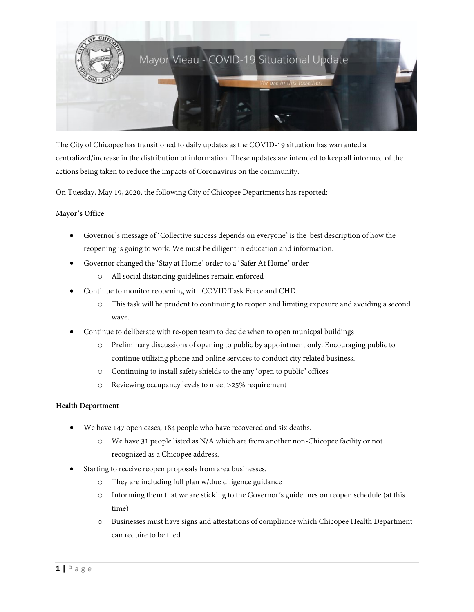

The City of Chicopee has transitioned to daily updates as the COVID-19 situation has warranted a centralized/increase in the distribution of information. These updates are intended to keep all informed of the actions being taken to reduce the impacts of Coronavirus on the community.

On Tuesday, May 19, 2020, the following City of Chicopee Departments has reported:

# M**ayor's Office**

- Governor's message of 'Collective success depends on everyone' is the best description of how the reopening is going to work. We must be diligent in education and information.
- Governor changed the 'Stay at Home' order to a 'Safer At Home' order
	- o All social distancing guidelines remain enforced
- Continue to monitor reopening with COVID Task Force and CHD.
	- o This task will be prudent to continuing to reopen and limiting exposure and avoiding a second wave.
- Continue to deliberate with re-open team to decide when to open municpal buildings
	- o Preliminary discussions of opening to public by appointment only. Encouraging public to continue utilizing phone and online services to conduct city related business.
	- o Continuing to install safety shields to the any 'open to public' offices
	- o Reviewing occupancy levels to meet >25% requirement

# **Health Department**

- We have 147 open cases, 184 people who have recovered and six deaths.
	- o We have 31 people listed as N/A which are from another non-Chicopee facility or not recognized as a Chicopee address.
- Starting to receive reopen proposals from area businesses.
	- o They are including full plan w/due diligence guidance
	- o Informing them that we are sticking to the Governor's guidelines on reopen schedule (at this time)
	- o Businesses must have signs and attestations of compliance which Chicopee Health Department can require to be filed